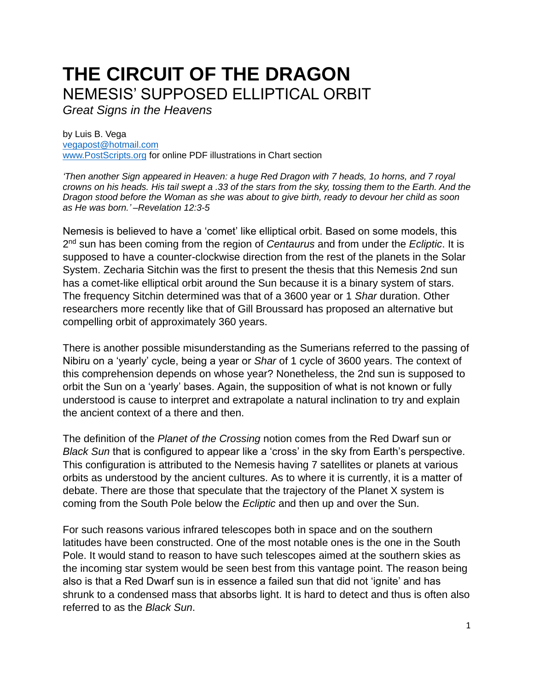# **THE CIRCUIT OF THE DRAGON** NEMESIS' SUPPOSED ELLIPTICAL ORBIT

*Great Signs in the Heavens*

by Luis B. Vega [vegapost@hotmail.com](mailto:vegapost@hotmail.com) [www.PostScripts.org](http://www.postscripts.org/) for online PDF illustrations in Chart section

*'Then another Sign appeared in Heaven: a huge Red Dragon with 7 heads, 1o horns, and 7 royal crowns on his heads. His tail swept a .33 of the stars from the sky, tossing them to the Earth. And the Dragon stood before the Woman as she was about to give birth, ready to devour her child as soon as He was born.' –Revelation 12:3-5*

Nemesis is believed to have a 'comet' like elliptical orbit. Based on some models, this 2 nd sun has been coming from the region of *Centaurus* and from under the *Ecliptic*. It is supposed to have a counter-clockwise direction from the rest of the planets in the Solar System. Zecharia Sitchin was the first to present the thesis that this Nemesis 2nd sun has a comet-like elliptical orbit around the Sun because it is a binary system of stars. The frequency Sitchin determined was that of a 3600 year or 1 *Shar* duration. Other researchers more recently like that of Gill Broussard has proposed an alternative but compelling orbit of approximately 360 years.

There is another possible misunderstanding as the Sumerians referred to the passing of Nibiru on a 'yearly' cycle, being a year or *Shar* of 1 cycle of 3600 years. The context of this comprehension depends on whose year? Nonetheless, the 2nd sun is supposed to orbit the Sun on a 'yearly' bases. Again, the supposition of what is not known or fully understood is cause to interpret and extrapolate a natural inclination to try and explain the ancient context of a there and then.

The definition of the *Planet of the Crossing* notion comes from the Red Dwarf sun or *Black Sun* that is configured to appear like a 'cross' in the sky from Earth's perspective. This configuration is attributed to the Nemesis having 7 satellites or planets at various orbits as understood by the ancient cultures. As to where it is currently, it is a matter of debate. There are those that speculate that the trajectory of the Planet X system is coming from the South Pole below the *Ecliptic* and then up and over the Sun.

For such reasons various infrared telescopes both in space and on the southern latitudes have been constructed. One of the most notable ones is the one in the South Pole. It would stand to reason to have such telescopes aimed at the southern skies as the incoming star system would be seen best from this vantage point. The reason being also is that a Red Dwarf sun is in essence a failed sun that did not 'ignite' and has shrunk to a condensed mass that absorbs light. It is hard to detect and thus is often also referred to as the *Black Sun*.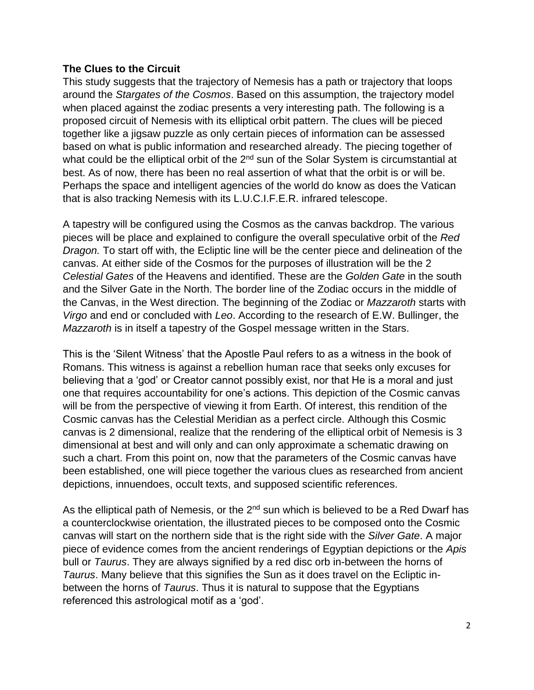## **The Clues to the Circuit**

This study suggests that the trajectory of Nemesis has a path or trajectory that loops around the *Stargates of the Cosmos*. Based on this assumption, the trajectory model when placed against the zodiac presents a very interesting path. The following is a proposed circuit of Nemesis with its elliptical orbit pattern. The clues will be pieced together like a jigsaw puzzle as only certain pieces of information can be assessed based on what is public information and researched already. The piecing together of what could be the elliptical orbit of the  $2<sup>nd</sup>$  sun of the Solar System is circumstantial at best. As of now, there has been no real assertion of what that the orbit is or will be. Perhaps the space and intelligent agencies of the world do know as does the Vatican that is also tracking Nemesis with its L.U.C.I.F.E.R. infrared telescope.

A tapestry will be configured using the Cosmos as the canvas backdrop. The various pieces will be place and explained to configure the overall speculative orbit of the *Red Dragon.* To start off with, the Ecliptic line will be the center piece and delineation of the canvas. At either side of the Cosmos for the purposes of illustration will be the 2 *Celestial Gates* of the Heavens and identified. These are the *Golden Gate* in the south and the Silver Gate in the North. The border line of the Zodiac occurs in the middle of the Canvas, in the West direction. The beginning of the Zodiac or *Mazzaroth* starts with *Virgo* and end or concluded with *Leo*. According to the research of E.W. Bullinger, the *Mazzaroth* is in itself a tapestry of the Gospel message written in the Stars.

This is the 'Silent Witness' that the Apostle Paul refers to as a witness in the book of Romans. This witness is against a rebellion human race that seeks only excuses for believing that a 'god' or Creator cannot possibly exist, nor that He is a moral and just one that requires accountability for one's actions. This depiction of the Cosmic canvas will be from the perspective of viewing it from Earth. Of interest, this rendition of the Cosmic canvas has the Celestial Meridian as a perfect circle. Although this Cosmic canvas is 2 dimensional, realize that the rendering of the elliptical orbit of Nemesis is 3 dimensional at best and will only and can only approximate a schematic drawing on such a chart. From this point on, now that the parameters of the Cosmic canvas have been established, one will piece together the various clues as researched from ancient depictions, innuendoes, occult texts, and supposed scientific references.

As the elliptical path of Nemesis, or the 2<sup>nd</sup> sun which is believed to be a Red Dwarf has a counterclockwise orientation, the illustrated pieces to be composed onto the Cosmic canvas will start on the northern side that is the right side with the *Silver Gate*. A major piece of evidence comes from the ancient renderings of Egyptian depictions or the *Apis* bull or *Taurus*. They are always signified by a red disc orb in-between the horns of *Taurus*. Many believe that this signifies the Sun as it does travel on the Ecliptic inbetween the horns of *Taurus*. Thus it is natural to suppose that the Egyptians referenced this astrological motif as a 'god'.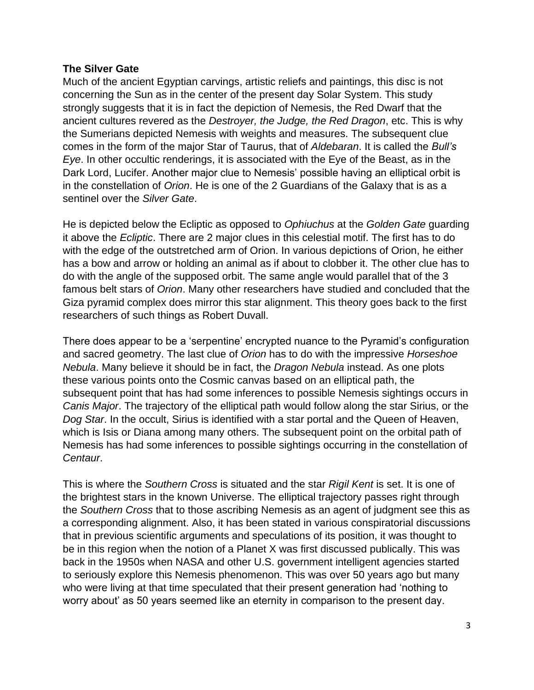### **The Silver Gate**

Much of the ancient Egyptian carvings, artistic reliefs and paintings, this disc is not concerning the Sun as in the center of the present day Solar System. This study strongly suggests that it is in fact the depiction of Nemesis, the Red Dwarf that the ancient cultures revered as the *Destroyer, the Judge, the Red Dragon*, etc. This is why the Sumerians depicted Nemesis with weights and measures. The subsequent clue comes in the form of the major Star of Taurus, that of *Aldebaran*. It is called the *Bull's Eye*. In other occultic renderings, it is associated with the Eye of the Beast, as in the Dark Lord, Lucifer. Another major clue to Nemesis' possible having an elliptical orbit is in the constellation of *Orion*. He is one of the 2 Guardians of the Galaxy that is as a sentinel over the *Silver Gate*.

He is depicted below the Ecliptic as opposed to *Ophiuchus* at the *Golden Gate* guarding it above the *Ecliptic*. There are 2 major clues in this celestial motif. The first has to do with the edge of the outstretched arm of Orion. In various depictions of Orion, he either has a bow and arrow or holding an animal as if about to clobber it. The other clue has to do with the angle of the supposed orbit. The same angle would parallel that of the 3 famous belt stars of *Orion*. Many other researchers have studied and concluded that the Giza pyramid complex does mirror this star alignment. This theory goes back to the first researchers of such things as Robert Duvall.

There does appear to be a 'serpentine' encrypted nuance to the Pyramid's configuration and sacred geometry. The last clue of *Orion* has to do with the impressive *Horseshoe Nebula*. Many believe it should be in fact, the *Dragon Nebula* instead. As one plots these various points onto the Cosmic canvas based on an elliptical path, the subsequent point that has had some inferences to possible Nemesis sightings occurs in *Canis Major*. The trajectory of the elliptical path would follow along the star Sirius, or the *Dog Star*. In the occult, Sirius is identified with a star portal and the Queen of Heaven, which is Isis or Diana among many others. The subsequent point on the orbital path of Nemesis has had some inferences to possible sightings occurring in the constellation of *Centaur*.

This is where the *Southern Cross* is situated and the star *Rigil Kent* is set. It is one of the brightest stars in the known Universe. The elliptical trajectory passes right through the *Southern Cross* that to those ascribing Nemesis as an agent of judgment see this as a corresponding alignment. Also, it has been stated in various conspiratorial discussions that in previous scientific arguments and speculations of its position, it was thought to be in this region when the notion of a Planet X was first discussed publically. This was back in the 1950s when NASA and other U.S. government intelligent agencies started to seriously explore this Nemesis phenomenon. This was over 50 years ago but many who were living at that time speculated that their present generation had 'nothing to worry about' as 50 years seemed like an eternity in comparison to the present day.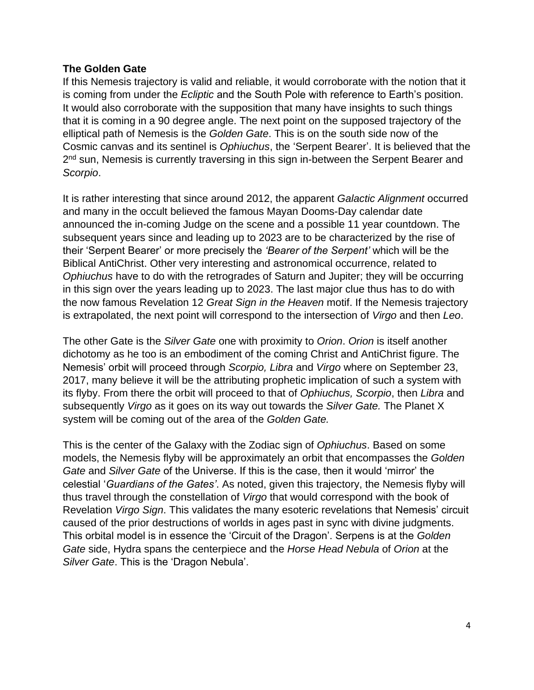## **The Golden Gate**

If this Nemesis trajectory is valid and reliable, it would corroborate with the notion that it is coming from under the *Ecliptic* and the South Pole with reference to Earth's position. It would also corroborate with the supposition that many have insights to such things that it is coming in a 90 degree angle. The next point on the supposed trajectory of the elliptical path of Nemesis is the *Golden Gate*. This is on the south side now of the Cosmic canvas and its sentinel is *Ophiuchus*, the 'Serpent Bearer'. It is believed that the 2<sup>nd</sup> sun, Nemesis is currently traversing in this sign in-between the Serpent Bearer and *Scorpio*.

It is rather interesting that since around 2012, the apparent *Galactic Alignment* occurred and many in the occult believed the famous Mayan Dooms-Day calendar date announced the in-coming Judge on the scene and a possible 11 year countdown. The subsequent years since and leading up to 2023 are to be characterized by the rise of their 'Serpent Bearer' or more precisely the *'Bearer of the Serpent'* which will be the Biblical AntiChrist. Other very interesting and astronomical occurrence, related to *Ophiuchus* have to do with the retrogrades of Saturn and Jupiter; they will be occurring in this sign over the years leading up to 2023. The last major clue thus has to do with the now famous Revelation 12 *Great Sign in the Heaven* motif. If the Nemesis trajectory is extrapolated, the next point will correspond to the intersection of *Virgo* and then *Leo*.

The other Gate is the *Silver Gate* one with proximity to *Orion*. *Orion* is itself another dichotomy as he too is an embodiment of the coming Christ and AntiChrist figure. The Nemesis' orbit will proceed through *Scorpio, Libra* and *Virgo* where on September 23, 2017, many believe it will be the attributing prophetic implication of such a system with its flyby. From there the orbit will proceed to that of *Ophiuchus, Scorpio*, then *Libra* and subsequently *Virgo* as it goes on its way out towards the *Silver Gate.* The Planet X system will be coming out of the area of the *Golden Gate.*

This is the center of the Galaxy with the Zodiac sign of *Ophiuchus*. Based on some models, the Nemesis flyby will be approximately an orbit that encompasses the *Golden Gate* and *Silver Gate* of the Universe. If this is the case, then it would 'mirror' the celestial '*Guardians of the Gates'*. As noted, given this trajectory, the Nemesis flyby will thus travel through the constellation of *Virgo* that would correspond with the book of Revelation *Virgo Sign*. This validates the many esoteric revelations that Nemesis' circuit caused of the prior destructions of worlds in ages past in sync with divine judgments. This orbital model is in essence the 'Circuit of the Dragon'. Serpens is at the *Golden Gate* side, Hydra spans the centerpiece and the *Horse Head Nebula* of *Orion* at the *Silver Gate*. This is the 'Dragon Nebula'.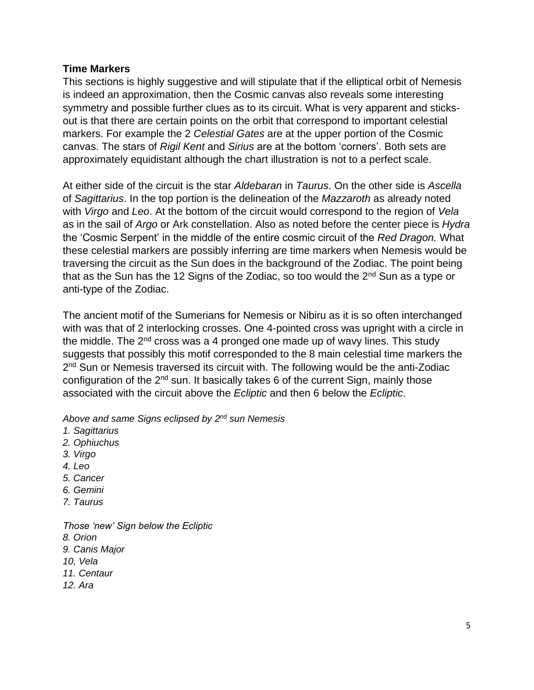## **Time Markers**

This sections is highly suggestive and will stipulate that if the elliptical orbit of Nemesis is indeed an approximation, then the Cosmic canvas also reveals some interesting symmetry and possible further clues as to its circuit. What is very apparent and sticksout is that there are certain points on the orbit that correspond to important celestial markers. For example the 2 *Celestial Gates* are at the upper portion of the Cosmic canvas. The stars of *Rigil Kent* and *Sirius* are at the bottom 'corners'. Both sets are approximately equidistant although the chart illustration is not to a perfect scale.

At either side of the circuit is the star *Aldebaran* in *Taurus*. On the other side is *Ascella* of *Sagittarius*. In the top portion is the delineation of the *Mazzaroth* as already noted with *Virgo* and *Leo*. At the bottom of the circuit would correspond to the region of *Vela*  as in the sail of *Argo* or Ark constellation. Also as noted before the center piece is *Hydra* the 'Cosmic Serpent' in the middle of the entire cosmic circuit of the *Red Dragon.* What these celestial markers are possibly inferring are time markers when Nemesis would be traversing the circuit as the Sun does in the background of the Zodiac. The point being that as the Sun has the 12 Signs of the Zodiac, so too would the 2<sup>nd</sup> Sun as a type or anti-type of the Zodiac.

The ancient motif of the Sumerians for Nemesis or Nibiru as it is so often interchanged with was that of 2 interlocking crosses. One 4-pointed cross was upright with a circle in the middle. The  $2<sup>nd</sup>$  cross was a 4 pronged one made up of wavy lines. This study suggests that possibly this motif corresponded to the 8 main celestial time markers the 2<sup>nd</sup> Sun or Nemesis traversed its circuit with. The following would be the anti-Zodiac configuration of the 2<sup>nd</sup> sun. It basically takes 6 of the current Sign, mainly those associated with the circuit above the *Ecliptic* and then 6 below the *Ecliptic*.

*Above and same Signs eclipsed by 2 nd sun Nemesis*

- *1. Sagittarius*
- *2. Ophiuchus*
- *3. Virgo*
- *4. Leo*
- *5. Cancer*
- *6. Gemini*
- *7. Taurus*

*Those 'new' Sign below the Ecliptic 8. Orion 9. Canis Major 10, Vela 11. Centaur 12. Ara*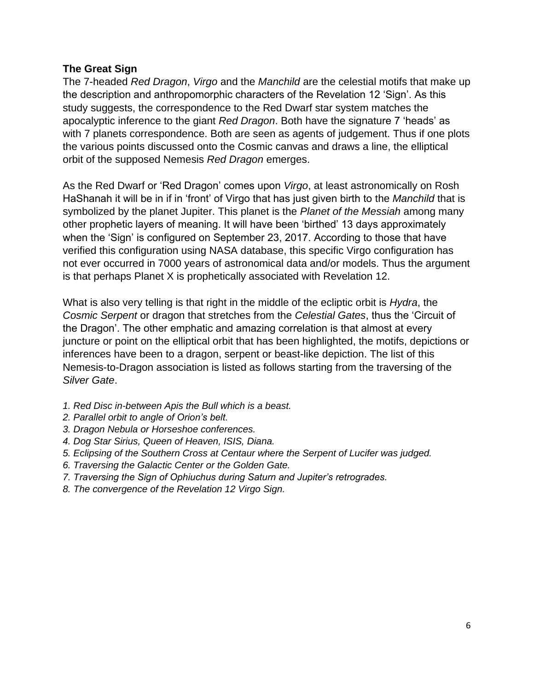## **The Great Sign**

The 7-headed *Red Dragon*, *Virgo* and the *Manchild* are the celestial motifs that make up the description and anthropomorphic characters of the Revelation 12 'Sign'. As this study suggests, the correspondence to the Red Dwarf star system matches the apocalyptic inference to the giant *Red Dragon*. Both have the signature 7 'heads' as with 7 planets correspondence. Both are seen as agents of judgement. Thus if one plots the various points discussed onto the Cosmic canvas and draws a line, the elliptical orbit of the supposed Nemesis *Red Dragon* emerges.

As the Red Dwarf or 'Red Dragon' comes upon *Virgo*, at least astronomically on Rosh HaShanah it will be in if in 'front' of Virgo that has just given birth to the *Manchild* that is symbolized by the planet Jupiter. This planet is the *Planet of the Messiah* among many other prophetic layers of meaning. It will have been 'birthed' 13 days approximately when the 'Sign' is configured on September 23, 2017. According to those that have verified this configuration using NASA database, this specific Virgo configuration has not ever occurred in 7000 years of astronomical data and/or models. Thus the argument is that perhaps Planet X is prophetically associated with Revelation 12.

What is also very telling is that right in the middle of the ecliptic orbit is *Hydra*, the *Cosmic Serpent* or dragon that stretches from the *Celestial Gates*, thus the 'Circuit of the Dragon'. The other emphatic and amazing correlation is that almost at every juncture or point on the elliptical orbit that has been highlighted, the motifs, depictions or inferences have been to a dragon, serpent or beast-like depiction. The list of this Nemesis-to-Dragon association is listed as follows starting from the traversing of the *Silver Gate*.

- *1. Red Disc in-between Apis the Bull which is a beast.*
- *2. Parallel orbit to angle of Orion's belt.*
- *3. Dragon Nebula or Horseshoe conferences.*
- *4. Dog Star Sirius, Queen of Heaven, ISIS, Diana.*
- *5. Eclipsing of the Southern Cross at Centaur where the Serpent of Lucifer was judged.*
- *6. Traversing the Galactic Center or the Golden Gate.*
- *7. Traversing the Sign of Ophiuchus during Saturn and Jupiter's retrogrades.*
- *8. The convergence of the Revelation 12 Virgo Sign.*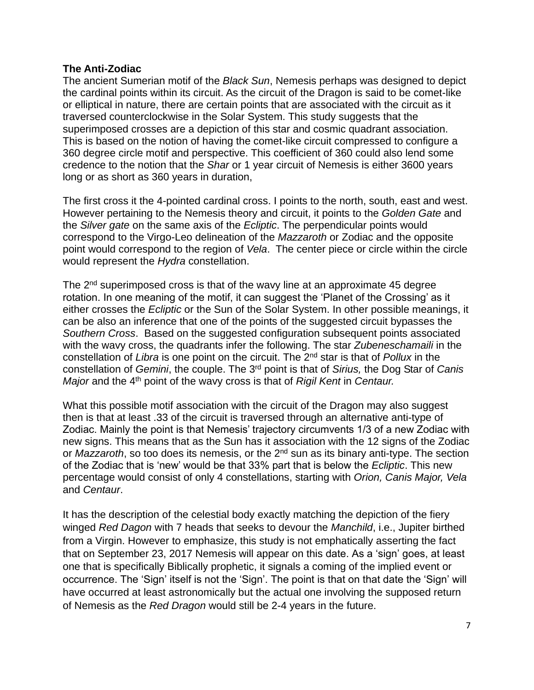#### **The Anti-Zodiac**

The ancient Sumerian motif of the *Black Sun*, Nemesis perhaps was designed to depict the cardinal points within its circuit. As the circuit of the Dragon is said to be comet-like or elliptical in nature, there are certain points that are associated with the circuit as it traversed counterclockwise in the Solar System. This study suggests that the superimposed crosses are a depiction of this star and cosmic quadrant association. This is based on the notion of having the comet-like circuit compressed to configure a 360 degree circle motif and perspective. This coefficient of 360 could also lend some credence to the notion that the *Shar* or 1 year circuit of Nemesis is either 3600 years long or as short as 360 years in duration,

The first cross it the 4-pointed cardinal cross. I points to the north, south, east and west. However pertaining to the Nemesis theory and circuit, it points to the *Golden Gate* and the *Silver gate* on the same axis of the *Ecliptic*. The perpendicular points would correspond to the Virgo-Leo delineation of the *Mazzaroth* or Zodiac and the opposite point would correspond to the region of *Vela*. The center piece or circle within the circle would represent the *Hydra* constellation.

The 2<sup>nd</sup> superimposed cross is that of the wavy line at an approximate 45 degree rotation. In one meaning of the motif, it can suggest the 'Planet of the Crossing' as it either crosses the *Ecliptic* or the Sun of the Solar System. In other possible meanings, it can be also an inference that one of the points of the suggested circuit bypasses the *Southern Cross*. Based on the suggested configuration subsequent points associated with the wavy cross, the quadrants infer the following. The star *Zubeneschamaili* in the constellation of *Libra* is one point on the circuit. The 2nd star is that of *Pollux* in the constellation of *Gemini*, the couple. The 3rd point is that of *Sirius,* the Dog Star of *Canis Major* and the 4<sup>th</sup> point of the wavy cross is that of *Rigil Kent* in *Centaur*.

What this possible motif association with the circuit of the Dragon may also suggest then is that at least .33 of the circuit is traversed through an alternative anti-type of Zodiac. Mainly the point is that Nemesis' trajectory circumvents 1/3 of a new Zodiac with new signs. This means that as the Sun has it association with the 12 signs of the Zodiac or *Mazzaroth*, so too does its nemesis, or the 2<sup>nd</sup> sun as its binary anti-type. The section of the Zodiac that is 'new' would be that 33% part that is below the *Ecliptic*. This new percentage would consist of only 4 constellations, starting with *Orion, Canis Major, Vela* and *Centaur*.

It has the description of the celestial body exactly matching the depiction of the fiery winged *Red Dagon* with 7 heads that seeks to devour the *Manchild*, i.e., Jupiter birthed from a Virgin. However to emphasize, this study is not emphatically asserting the fact that on September 23, 2017 Nemesis will appear on this date. As a 'sign' goes, at least one that is specifically Biblically prophetic, it signals a coming of the implied event or occurrence. The 'Sign' itself is not the 'Sign'. The point is that on that date the 'Sign' will have occurred at least astronomically but the actual one involving the supposed return of Nemesis as the *Red Dragon* would still be 2-4 years in the future.